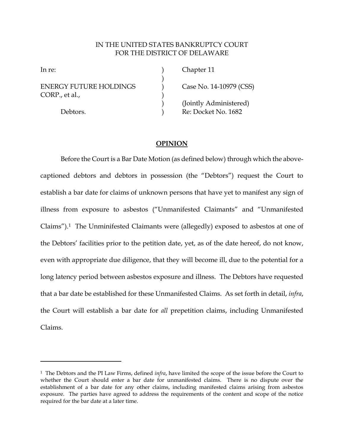# IN THE UNITED STATES BANKRUPTCY COURT FOR THE DISTRICT OF DELAWARE

)

 $\overline{a}$ 

ENERGY FUTURE HOLDINGS (Case No. 14-10979 (CSS) CORP., et al.,

In re: (a) Chapter 11 ) (Jointly Administered) Debtors. (a) Re: Docket No. 1682

# **OPINION**

Before the Court is a Bar Date Motion (as defined below) through which the abovecaptioned debtors and debtors in possession (the "Debtors") request the Court to establish a bar date for claims of unknown persons that have yet to manifest any sign of illness from exposure to asbestos ("Unmanifested Claimants" and "Unmanifested Claims").1 The Unminifested Claimants were (allegedly) exposed to asbestos at one of the Debtors' facilities prior to the petition date, yet, as of the date hereof, do not know, even with appropriate due diligence, that they will become ill, due to the potential for a long latency period between asbestos exposure and illness. The Debtors have requested that a bar date be established for these Unmanifested Claims. As set forth in detail, *infra*, the Court will establish a bar date for *all* prepetition claims, including Unmanifested Claims.

<sup>1</sup> The Debtors and the PI Law Firms, defined *infra*, have limited the scope of the issue before the Court to whether the Court should enter a bar date for unmanifested claims. There is no dispute over the establishment of a bar date for any other claims, including manifested claims arising from asbestos exposure. The parties have agreed to address the requirements of the content and scope of the notice required for the bar date at a later time.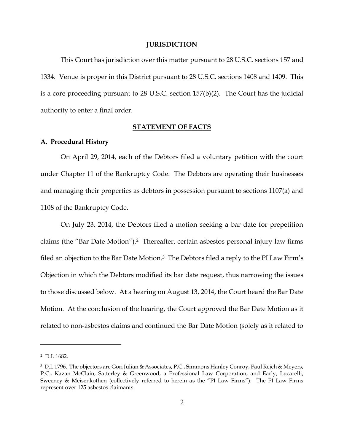#### **JURISDICTION**

This Court has jurisdiction over this matter pursuant to 28 U.S.C. sections 157 and 1334. Venue is proper in this District pursuant to 28 U.S.C. sections 1408 and 1409. This is a core proceeding pursuant to 28 U.S.C. section 157(b)(2). The Court has the judicial authority to enter a final order.

# **STATEMENT OF FACTS**

## **A. Procedural History**

On April 29, 2014, each of the Debtors filed a voluntary petition with the court under Chapter 11 of the Bankruptcy Code. The Debtors are operating their businesses and managing their properties as debtors in possession pursuant to sections 1107(a) and 1108 of the Bankruptcy Code.

On July 23, 2014, the Debtors filed a motion seeking a bar date for prepetition claims (the "Bar Date Motion").2 Thereafter, certain asbestos personal injury law firms filed an objection to the Bar Date Motion.3 The Debtors filed a reply to the PI Law Firm's Objection in which the Debtors modified its bar date request, thus narrowing the issues to those discussed below. At a hearing on August 13, 2014, the Court heard the Bar Date Motion. At the conclusion of the hearing, the Court approved the Bar Date Motion as it related to non-asbestos claims and continued the Bar Date Motion (solely as it related to

<sup>2</sup> D.I. 1682.

<sup>3</sup> D.I. 1796. The objectors are Gori Julian & Associates, P.C., Simmons Hanley Conroy, Paul Reich & Meyers, P.C., Kazan McClain, Satterley & Greenwood, a Professional Law Corporation, and Early, Lucarelli, Sweeney & Meisenkothen (collectively referred to herein as the "PI Law Firms"). The PI Law Firms represent over 125 asbestos claimants.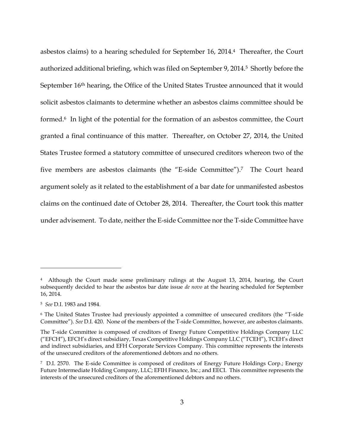asbestos claims) to a hearing scheduled for September 16, 2014.4 Thereafter, the Court authorized additional briefing, which was filed on September 9, 2014.5 Shortly before the September 16<sup>th</sup> hearing, the Office of the United States Trustee announced that it would solicit asbestos claimants to determine whether an asbestos claims committee should be formed.6 In light of the potential for the formation of an asbestos committee, the Court granted a final continuance of this matter. Thereafter, on October 27, 2014, the United States Trustee formed a statutory committee of unsecured creditors whereon two of the five members are asbestos claimants (the "E-side Committee"). <sup>7</sup> The Court heard argument solely as it related to the establishment of a bar date for unmanifested asbestos claims on the continued date of October 28, 2014. Thereafter, the Court took this matter under advisement. To date, neither the E-side Committee nor the T-side Committee have

<sup>4</sup> Although the Court made some preliminary rulings at the August 13, 2014, hearing, the Court subsequently decided to hear the asbestos bar date issue *de novo* at the hearing scheduled for September 16, 2014.

<sup>5</sup> *See* D.I. 1983 and 1984.

<sup>6</sup> The United States Trustee had previously appointed a committee of unsecured creditors (the "T-side Committee"). *See* D.I. 420. None of the members of the T-side Committee, however, are asbestos claimants.

The T-side Committee is composed of creditors of Energy Future Competitive Holdings Company LLC ("EFCH"), EFCH's direct subsidiary, Texas Competitive Holdings Company LLC ("TCEH"), TCEH's direct and indirect subsidiaries, and EFH Corporate Services Company. This committee represents the interests of the unsecured creditors of the aforementioned debtors and no others.

<sup>7</sup> D.I. 2570. The E-side Committee is composed of creditors of Energy Future Holdings Corp.; Energy Future Intermediate Holding Company, LLC; EFIH Finance, Inc.; and EECI. This committee represents the interests of the unsecured creditors of the aforementioned debtors and no others.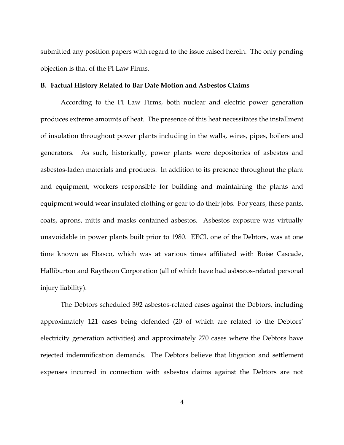submitted any position papers with regard to the issue raised herein. The only pending objection is that of the PI Law Firms.

#### **B. Factual History Related to Bar Date Motion and Asbestos Claims**

According to the PI Law Firms, both nuclear and electric power generation produces extreme amounts of heat. The presence of this heat necessitates the installment of insulation throughout power plants including in the walls, wires, pipes, boilers and generators. As such, historically, power plants were depositories of asbestos and asbestos-laden materials and products. In addition to its presence throughout the plant and equipment, workers responsible for building and maintaining the plants and equipment would wear insulated clothing or gear to do their jobs. For years, these pants, coats, aprons, mitts and masks contained asbestos. Asbestos exposure was virtually unavoidable in power plants built prior to 1980. EECI, one of the Debtors, was at one time known as Ebasco, which was at various times affiliated with Boise Cascade, Halliburton and Raytheon Corporation (all of which have had asbestos-related personal injury liability).

The Debtors scheduled 392 asbestos-related cases against the Debtors, including approximately 121 cases being defended (20 of which are related to the Debtors' electricity generation activities) and approximately 270 cases where the Debtors have rejected indemnification demands. The Debtors believe that litigation and settlement expenses incurred in connection with asbestos claims against the Debtors are not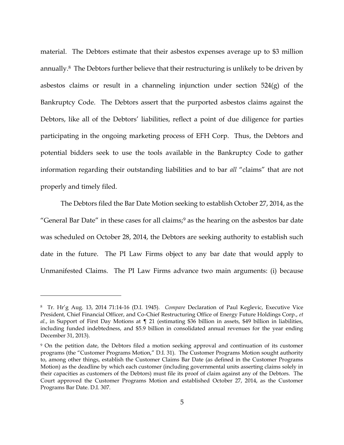material. The Debtors estimate that their asbestos expenses average up to \$3 million annually.8 The Debtors further believe that their restructuring is unlikely to be driven by asbestos claims or result in a channeling injunction under section  $524(g)$  of the Bankruptcy Code. The Debtors assert that the purported asbestos claims against the Debtors, like all of the Debtors' liabilities, reflect a point of due diligence for parties participating in the ongoing marketing process of EFH Corp. Thus, the Debtors and potential bidders seek to use the tools available in the Bankruptcy Code to gather information regarding their outstanding liabilities and to bar *all* "claims" that are not properly and timely filed.

The Debtors filed the Bar Date Motion seeking to establish October 27, 2014, as the "General Bar Date" in these cases for all claims;<sup>9</sup> as the hearing on the asbestos bar date was scheduled on October 28, 2014, the Debtors are seeking authority to establish such date in the future. The PI Law Firms object to any bar date that would apply to Unmanifested Claims. The PI Law Firms advance two main arguments: (i) because

<sup>8</sup> Tr. Hr'g Aug. 13, 2014 71:14-16 (D.I. 1945). *Compare* Declaration of Paul Keglevic, Executive Vice President, Chief Financial Officer, and Co-Chief Restructuring Office of Energy Future Holdings Corp., *et al.*, in Support of First Day Motions at ¶ 21 (estimating \$36 billion in assets, \$49 billion in liabilities, including funded indebtedness, and \$5.9 billion in consolidated annual revenues for the year ending December 31, 2013).

<sup>&</sup>lt;sup>9</sup> On the petition date, the Debtors filed a motion seeking approval and continuation of its customer programs (the "Customer Programs Motion," D.I. 31). The Customer Programs Motion sought authority to, among other things, establish the Customer Claims Bar Date (as defined in the Customer Programs Motion) as the deadline by which each customer (including governmental units asserting claims solely in their capacities as customers of the Debtors) must file its proof of claim against any of the Debtors. The Court approved the Customer Programs Motion and established October 27, 2014, as the Customer Programs Bar Date. D.I. 307.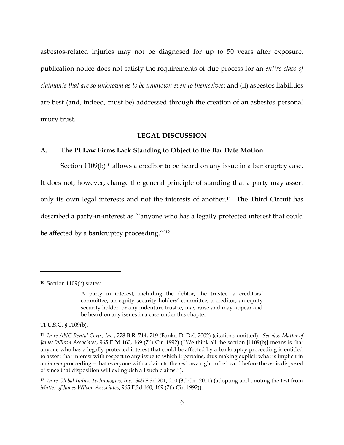asbestos-related injuries may not be diagnosed for up to 50 years after exposure, publication notice does not satisfy the requirements of due process for an *entire class of claimants that are so unknown as to be unknown even to themselves*; and (ii) asbestos liabilities are best (and, indeed, must be) addressed through the creation of an asbestos personal injury trust.

#### **LEGAL DISCUSSION**

## **A. The PI Law Firms Lack Standing to Object to the Bar Date Motion**

Section  $1109(b)^{10}$  allows a creditor to be heard on any issue in a bankruptcy case. It does not, however, change the general principle of standing that a party may assert only its own legal interests and not the interests of another.<sup>11</sup> The Third Circuit has described a party-in-interest as "'anyone who has a legally protected interest that could be affected by a bankruptcy proceeding.'"<sup>12</sup>

<sup>10</sup> Section 1109(b) states:

A party in interest, including the debtor, the trustee, a creditors' committee, an equity security holders' committee, a creditor, an equity security holder, or any indenture trustee, may raise and may appear and be heard on any issues in a case under this chapter.

<sup>11</sup> U.S.C. § 1109(b).

<sup>11</sup> *In re ANC Rental Corp., Inc.*, 278 B.R. 714, 719 (Bankr. D. Del. 2002) (citations omitted). *See also Matter of James Wilson Associates*, 965 F.2d 160, 169 (7th Cir. 1992) ("We think all the section [1109(b)] means is that anyone who has a legally protected interest that could be affected by a bankruptcy proceeding is entitled to assert that interest with respect to any issue to which it pertains, thus making explicit what is implicit in an *in rem* proceeding—that everyone with a claim to the *res* has a right to be heard before the *res* is disposed of since that disposition will extinguish all such claims.").

<sup>12</sup> *In re Global Indus. Technologies, Inc.*, 645 F.3d 201, 210 (3d Cir. 2011) (adopting and quoting the test from *Matter of James Wilson Associates*, 965 F.2d 160, 169 (7th Cir. 1992)).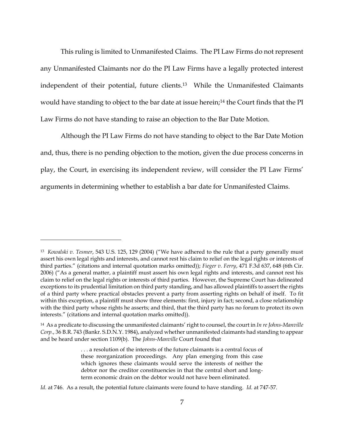This ruling is limited to Unmanifested Claims. The PI Law Firms do not represent any Unmanifested Claimants nor do the PI Law Firms have a legally protected interest independent of their potential, future clients.13 While the Unmanifested Claimants would have standing to object to the bar date at issue herein;<sup>14</sup> the Court finds that the PI Law Firms do not have standing to raise an objection to the Bar Date Motion.

Although the PI Law Firms do not have standing to object to the Bar Date Motion and, thus, there is no pending objection to the motion, given the due process concerns in play, the Court, in exercising its independent review, will consider the PI Law Firms' arguments in determining whether to establish a bar date for Unmanifested Claims.

<sup>13</sup> *Kowalski v. Tesmer*, 543 U.S. 125, 129 (2004) ("We have adhered to the rule that a party generally must assert his own legal rights and interests, and cannot rest his claim to relief on the legal rights or interests of third parties." (citations and internal quotation marks omitted)); *Fieger v. Ferry*, 471 F.3d 637, 648 (6th Cir. 2006) ("As a general matter, a plaintiff must assert his own legal rights and interests, and cannot rest his claim to relief on the legal rights or interests of third parties. However, the Supreme Court has delineated exceptions to its prudential limitation on third party standing, and has allowed plaintiffs to assert the rights of a third party where practical obstacles prevent a party from asserting rights on behalf of itself. To fit within this exception, a plaintiff must show three elements: first, injury in fact; second, a close relationship with the third party whose rights he asserts; and third, that the third party has no forum to protect its own interests." (citations and internal quotation marks omitted)).

<sup>14</sup> As a predicate to discussing the unmanifested claimants' right to counsel, the court in *In re Johns-Manville Corp.*, 36 B.R. 743 (Bankr. S.D.N.Y. 1984), analyzed whether unmanifested claimants had standing to appear and be heard under section 1109(b). The *Johns-Manville* Court found that

<sup>.</sup> . . a resolution of the interests of the future claimants is a central focus of these reorganization proceedings. Any plan emerging from this case which ignores these claimants would serve the interests of neither the debtor nor the creditor constituencies in that the central short and longterm economic drain on the debtor would not have been eliminated.

*Id.* at 746. As a result, the potential future claimants were found to have standing. *Id.* at 747-57.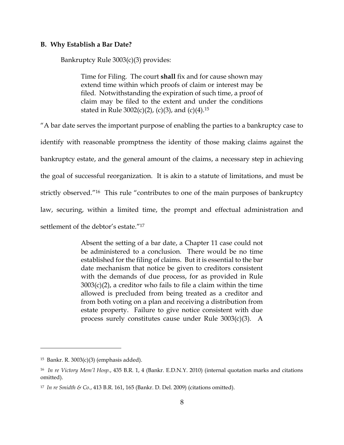#### **B. Why Establish a Bar Date?**

Bankruptcy Rule 3003(c)(3) provides:

Time for Filing. The court **shall** fix and for cause shown may extend time within which proofs of claim or interest may be filed. Notwithstanding the expiration of such time, a proof of claim may be filed to the extent and under the conditions stated in Rule  $3002(c)(2)$ , (c)(3), and (c)(4).<sup>15</sup>

"A bar date serves the important purpose of enabling the parties to a bankruptcy case to

identify with reasonable promptness the identity of those making claims against the bankruptcy estate, and the general amount of the claims, a necessary step in achieving the goal of successful reorganization. It is akin to a statute of limitations, and must be strictly observed."16 This rule "contributes to one of the main purposes of bankruptcy law, securing, within a limited time, the prompt and effectual administration and

settlement of the debtor's estate."<sup>17</sup>

Absent the setting of a bar date, a Chapter 11 case could not be administered to a conclusion. There would be no time established for the filing of claims. But it is essential to the bar date mechanism that notice be given to creditors consistent with the demands of due process, for as provided in Rule  $3003(c)(2)$ , a creditor who fails to file a claim within the time allowed is precluded from being treated as a creditor and from both voting on a plan and receiving a distribution from estate property. Failure to give notice consistent with due process surely constitutes cause under Rule 3003(c)(3). A

<sup>15</sup> Bankr. R. 3003(c)(3) (emphasis added).

<sup>16</sup> *In re Victory Mem'l Hosp.*, 435 B.R. 1, 4 (Bankr. E.D.N.Y. 2010) (internal quotation marks and citations omitted).

<sup>17</sup> *In re Smidth & Co.*, 413 B.R. 161, 165 (Bankr. D. Del. 2009) (citations omitted).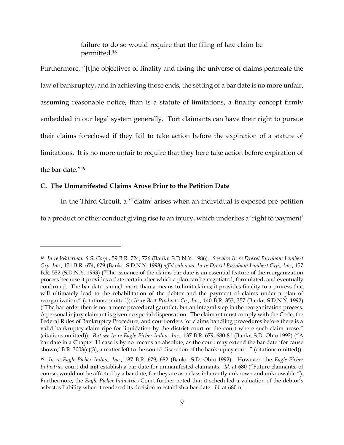failure to do so would require that the filing of late claim be permitted.<sup>18</sup>

Furthermore, "[t]he objectives of finality and fixing the universe of claims permeate the law of bankruptcy, and in achieving those ends, the setting of a bar date is no more unfair, assuming reasonable notice, than is a statute of limitations, a finality concept firmly embedded in our legal system generally. Tort claimants can have their right to pursue their claims foreclosed if they fail to take action before the expiration of a statute of limitations. It is no more unfair to require that they here take action before expiration of the bar date."<sup>19</sup>

# **C. The Unmanifested Claims Arose Prior to the Petition Date**

 $\overline{a}$ 

In the Third Circuit, a "'claim' arises when an individual is exposed pre-petition

to a product or other conduct giving rise to an injury, which underlies a 'right to payment'

<sup>18</sup> *In re Waterman S.S. Corp.*, 59 B.R. 724, 726 (Bankr. S.D.N.Y. 1986). *See also In re Drexel Burnham Lambert Grp. Inc.*, 151 B.R. 674, 679 (Bankr. S.D.N.Y. 1993) *aff'd sub nom. In re Drexel Burnham Lambert Grp., Inc.*, 157 B.R. 532 (S.D.N.Y. 1993) ("The issuance of the claims bar date is an essential feature of the reorganization process because it provides a date certain after which a plan can be negotiated, formulated, and eventually confirmed. The bar date is much more than a means to limit claims; it provides finality to a process that will ultimately lead to the rehabilitation of the debtor and the payment of claims under a plan of reorganization." (citations omitted)); *In re Best Products Co., Inc.*, 140 B.R. 353, 357 (Bankr. S.D.N.Y. 1992) ("The bar order then is not a mere procedural gauntlet, but an integral step in the reorganization process. A personal injury claimant is given no special dispensation. The claimant must comply with the Code, the Federal Rules of Bankruptcy Procedure, and court orders for claims handling procedures before there is a valid bankruptcy claim ripe for liquidation by the district court or the court where such claim arose." (citations omitted)). *But see In re Eagle-Picher Indus., Inc.*, 137 B.R. 679, 680-81 (Bankr. S.D. Ohio 1992) ("A bar date in a Chapter 11 case is by no means an absolute, as the court may extend the bar date 'for cause shown,' B.R. 3003(c)(3), a matter left to the sound discretion of the bankruptcy court." (citations omitted)).

<sup>19</sup> *In re Eagle-Picher Indus., Inc.*, 137 B.R. 679, 682 (Bankr. S.D. Ohio 1992). However, the *Eagle-Picher Industries* court did **not** establish a bar date for unmanifested claimants. *Id.* at 680 ("Future claimants, of course, would not be affected by a bar date, for they are as a class inherently unknown and unknowable."). Furthermore, the *Eagle-Picher Industries* Court further noted that it scheduled a valuation of the debtor's asbestos liability when it rendered its decision to establish a bar date. *Id.* at 680 n.1.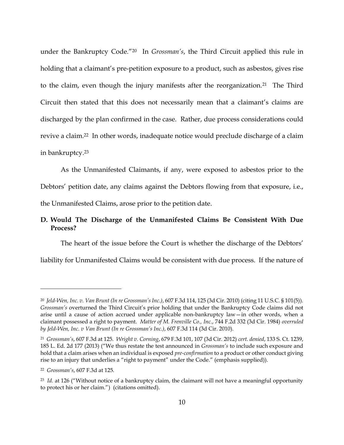under the Bankruptcy Code."20 In *Grossman's*, the Third Circuit applied this rule in holding that a claimant's pre-petition exposure to a product, such as asbestos, gives rise to the claim, even though the injury manifests after the reorganization.<sup>21</sup> The Third Circuit then stated that this does not necessarily mean that a claimant's claims are discharged by the plan confirmed in the case. Rather, due process considerations could revive a claim. <sup>22</sup> In other words, inadequate notice would preclude discharge of a claim in bankruptcy.<sup>23</sup>

As the Unmanifested Claimants, if any, were exposed to asbestos prior to the Debtors' petition date, any claims against the Debtors flowing from that exposure, i.e., the Unmanifested Claims, arose prior to the petition date.

# **D. Would The Discharge of the Unmanifested Claims Be Consistent With Due Process?**

The heart of the issue before the Court is whether the discharge of the Debtors'

liability for Unmanifested Claims would be consistent with due process. If the nature of

<sup>20</sup> *Jeld-Wen, Inc. v. Van Brunt (In re Grossman's Inc.)*, 607 F.3d 114, 125 (3d Cir. 2010) (citing 11 U.S.C. § 101(5)). *Grossman's* overturned the Third Circuit's prior holding that under the Bankruptcy Code claims did not arise until a cause of action accrued under applicable non-bankruptcy law—in other words, when a claimant possessed a right to payment. *Matter of M. Frenville Co., Inc.*, 744 F.2d 332 (3d Cir. 1984) *overruled by Jeld-Wen, Inc. v Van Brunt (In re Grossman's Inc.)*, 607 F.3d 114 (3d Cir. 2010).

<sup>21</sup> *Grossman's*, 607 F.3d at 125. *Wright v. Corning*, 679 F.3d 101, 107 (3d Cir. 2012) *cert. denied*, 133 S. Ct. 1239, 185 L. Ed. 2d 177 (2013) ("We thus restate the test announced in *Grossman's* to include such exposure and hold that a claim arises when an individual is exposed *pre-confirmation* to a product or other conduct giving rise to an injury that underlies a "right to payment" under the Code." (emphasis supplied)).

<sup>22</sup> *Grossman's*, 607 F.3d at 125.

<sup>23</sup> *Id.* at 126 ("Without notice of a bankruptcy claim, the claimant will not have a meaningful opportunity to protect his or her claim.") (citations omitted).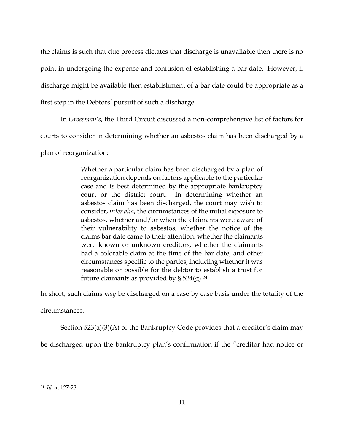the claims is such that due process dictates that discharge is unavailable then there is no point in undergoing the expense and confusion of establishing a bar date. However, if discharge might be available then establishment of a bar date could be appropriate as a first step in the Debtors' pursuit of such a discharge.

In *Grossman's*, the Third Circuit discussed a non-comprehensive list of factors for

courts to consider in determining whether an asbestos claim has been discharged by a

plan of reorganization:

Whether a particular claim has been discharged by a plan of reorganization depends on factors applicable to the particular case and is best determined by the appropriate bankruptcy court or the district court. In determining whether an asbestos claim has been discharged, the court may wish to consider, *inter alia*, the circumstances of the initial exposure to asbestos, whether and/or when the claimants were aware of their vulnerability to asbestos, whether the notice of the claims bar date came to their attention, whether the claimants were known or unknown creditors, whether the claimants had a colorable claim at the time of the bar date, and other circumstances specific to the parties, including whether it was reasonable or possible for the debtor to establish a trust for future claimants as provided by  $\S 524(g).^{24}$ 

In short, such claims *may* be discharged on a case by case basis under the totality of the

circumstances.

Section 523(a)(3)(A) of the Bankruptcy Code provides that a creditor's claim may

be discharged upon the bankruptcy plan's confirmation if the "creditor had notice or

<sup>24</sup> *Id.* at 127-28.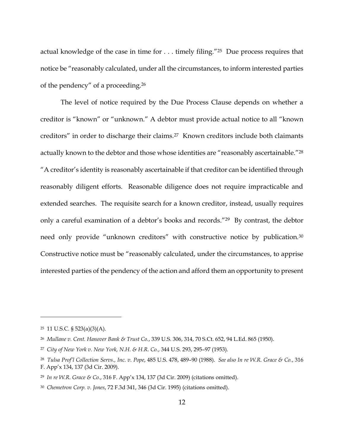actual knowledge of the case in time for . . . timely filing."25 Due process requires that notice be "reasonably calculated, under all the circumstances, to inform interested parties of the pendency" of a proceeding.<sup>26</sup>

The level of notice required by the Due Process Clause depends on whether a creditor is "known" or "unknown." A debtor must provide actual notice to all "known creditors" in order to discharge their claims.<sup>27</sup> Known creditors include both claimants actually known to the debtor and those whose identities are "reasonably ascertainable."<sup>28</sup> "A creditor's identity is reasonably ascertainable if that creditor can be identified through reasonably diligent efforts. Reasonable diligence does not require impracticable and extended searches. The requisite search for a known creditor, instead, usually requires only a careful examination of a debtor's books and records."29 By contrast, the debtor need only provide "unknown creditors" with constructive notice by publication.<sup>30</sup> Constructive notice must be "reasonably calculated, under the circumstances, to apprise interested parties of the pendency of the action and afford them an opportunity to present

<sup>25</sup> 11 U.S.C. § 523(a)(3)(A).

<sup>26</sup> *Mullane v. Cent. Hanover Bank & Trust Co.*, 339 U.S. 306, 314, 70 S.Ct. 652, 94 L.Ed. 865 (1950).

<sup>27</sup> *City of New York v. New York, N.H. & H.R. Co.*, 344 U.S. 293, 295–97 (1953).

<sup>28</sup> *Tulsa Prof'l Collection Servs., Inc. v. Pope*, 485 U.S. 478, 489–90 (1988). *See also In re W.R. Grace & Co.*, 316 F. App'x 134, 137 (3d Cir. 2009).

<sup>29</sup> *In re W.R. Grace & Co.*, 316 F. App'x 134, 137 (3d Cir. 2009) (citations omitted).

<sup>30</sup> *Chemetron Corp. v. Jones*, 72 F.3d 341, 346 (3d Cir. 1995) (citations omitted).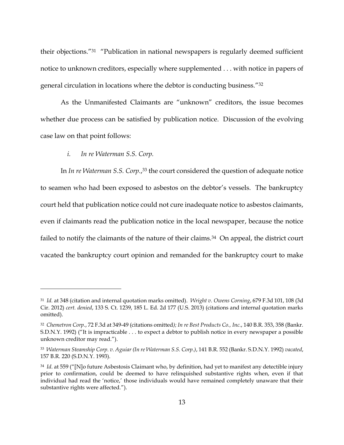their objections."<sup>31</sup> "Publication in national newspapers is regularly deemed sufficient notice to unknown creditors, especially where supplemented . . . with notice in papers of general circulation in locations where the debtor is conducting business."<sup>32</sup>

As the Unmanifested Claimants are "unknown" creditors, the issue becomes whether due process can be satisfied by publication notice. Discussion of the evolving case law on that point follows:

# *i. In re Waterman S.S. Corp.*

 $\overline{a}$ 

In *In re Waterman S.S. Corp.*, <sup>33</sup> the court considered the question of adequate notice to seamen who had been exposed to asbestos on the debtor's vessels. The bankruptcy court held that publication notice could not cure inadequate notice to asbestos claimants, even if claimants read the publication notice in the local newspaper, because the notice failed to notify the claimants of the nature of their claims.<sup>34</sup> On appeal, the district court vacated the bankruptcy court opinion and remanded for the bankruptcy court to make

<sup>31</sup> *Id.* at 348 (citation and internal quotation marks omitted). *Wright v. Owens Corning*, 679 F.3d 101, 108 (3d Cir. 2012) *cert. denied*, 133 S. Ct. 1239, 185 L. Ed. 2d 177 (U.S. 2013) (citations and internal quotation marks omitted).

<sup>32</sup> *Chemetron Corp.*, 72 F.3d at 349-49 (citations omitted*); In re Best Products Co., Inc.*, 140 B.R. 353, 358 (Bankr. S.D.N.Y. 1992) ("It is impracticable . . . to expect a debtor to publish notice in every newspaper a possible unknown creditor may read.").

<sup>33</sup> *Waterman Steamship Corp. v. Aguiar (In re Waterman S.S. Corp.)*, 141 B.R. 552 (Bankr. S.D.N.Y. 1992) *vacated*, 157 B.R. 220 (S.D.N.Y. 1993).

<sup>34</sup> *Id*. at 559 ("[N]o future Asbestosis Claimant who, by definition, had yet to manifest any detectible injury prior to confirmation, could be deemed to have relinquished substantive rights when, even if that individual had read the 'notice,' those individuals would have remained completely unaware that their substantive rights were affected.").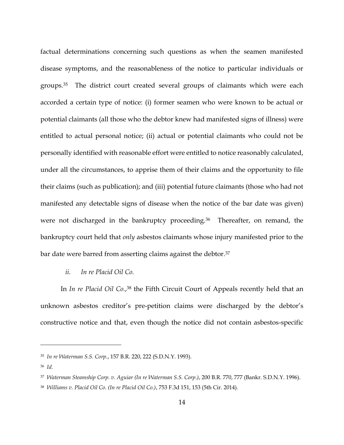factual determinations concerning such questions as when the seamen manifested disease symptoms, and the reasonableness of the notice to particular individuals or groups.35 The district court created several groups of claimants which were each accorded a certain type of notice: (i) former seamen who were known to be actual or potential claimants (all those who the debtor knew had manifested signs of illness) were entitled to actual personal notice; (ii) actual or potential claimants who could not be personally identified with reasonable effort were entitled to notice reasonably calculated, under all the circumstances, to apprise them of their claims and the opportunity to file their claims (such as publication); and (iii) potential future claimants (those who had not manifested any detectable signs of disease when the notice of the bar date was given) were not discharged in the bankruptcy proceeding.<sup>36</sup> Thereafter, on remand, the bankruptcy court held that *only* asbestos claimants whose injury manifested prior to the bar date were barred from asserting claims against the debtor.<sup>37</sup>

# *ii. In re Placid Oil Co.*

In *In re Placid Oil Co.*, <sup>38</sup> the Fifth Circuit Court of Appeals recently held that an unknown asbestos creditor's pre-petition claims were discharged by the debtor's constructive notice and that, even though the notice did not contain asbestos-specific

<sup>35</sup> *In re Waterman S.S. Corp.*, 157 B.R. 220, 222 (S.D.N.Y. 1993).

<sup>36</sup> *Id.*

<sup>37</sup> *Waterman Steamship Corp. v. Aguiar (In re Waterman S.S. Corp.)*, 200 B.R. 770, 777 (Bankr. S.D.N.Y. 1996).

<sup>38</sup> *Williams v. Placid Oil Co. (In re Placid Oil Co.)*, 753 F.3d 151, 153 (5th Cir. 2014).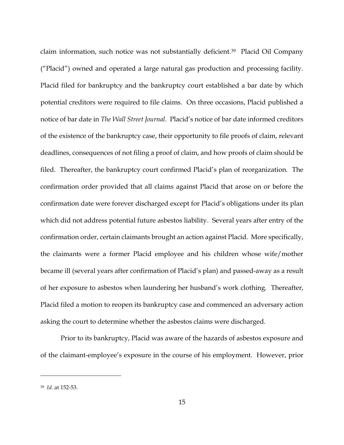claim information, such notice was not substantially deficient.39 Placid Oil Company ("Placid") owned and operated a large natural gas production and processing facility. Placid filed for bankruptcy and the bankruptcy court established a bar date by which potential creditors were required to file claims. On three occasions, Placid published a notice of bar date in *The Wall Street Journal*.Placid's notice of bar date informed creditors of the existence of the bankruptcy case, their opportunity to file proofs of claim, relevant deadlines, consequences of not filing a proof of claim, and how proofs of claim should be filed. Thereafter, the bankruptcy court confirmed Placid's plan of reorganization. The confirmation order provided that all claims against Placid that arose on or before the confirmation date were forever discharged except for Placid's obligations under its plan which did not address potential future asbestos liability. Several years after entry of the confirmation order, certain claimants brought an action against Placid. More specifically, the claimants were a former Placid employee and his children whose wife/mother became ill (several years after confirmation of Placid's plan) and passed-away as a result of her exposure to asbestos when laundering her husband's work clothing. Thereafter, Placid filed a motion to reopen its bankruptcy case and commenced an adversary action asking the court to determine whether the asbestos claims were discharged.

Prior to its bankruptcy, Placid was aware of the hazards of asbestos exposure and of the claimant-employee's exposure in the course of his employment. However, prior

<sup>39</sup> *Id.* at 152-53.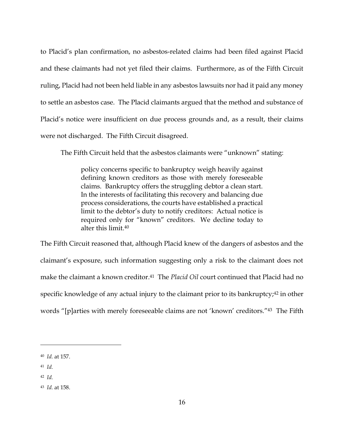to Placid's plan confirmation, no asbestos-related claims had been filed against Placid and these claimants had not yet filed their claims. Furthermore, as of the Fifth Circuit ruling, Placid had not been held liable in any asbestos lawsuits nor had it paid any money to settle an asbestos case. The Placid claimants argued that the method and substance of Placid's notice were insufficient on due process grounds and, as a result, their claims were not discharged. The Fifth Circuit disagreed.

The Fifth Circuit held that the asbestos claimants were "unknown" stating:

policy concerns specific to bankruptcy weigh heavily against defining known creditors as those with merely foreseeable claims. Bankruptcy offers the struggling debtor a clean start. In the interests of facilitating this recovery and balancing due process considerations, the courts have established a practical limit to the debtor's duty to notify creditors: Actual notice is required only for "known" creditors. We decline today to alter this limit.<sup>40</sup>

The Fifth Circuit reasoned that, although Placid knew of the dangers of asbestos and the claimant's exposure, such information suggesting only a risk to the claimant does not make the claimant a known creditor.41 The *Placid Oil* court continued that Placid had no specific knowledge of any actual injury to the claimant prior to its bankruptcy;<sup>42</sup> in other words "[p]arties with merely foreseeable claims are not 'known' creditors."43 The Fifth

 $\overline{a}$ 

42 *Id.*

<sup>40</sup> *Id.* at 157.

<sup>41</sup> *Id.*

<sup>43</sup> *Id.* at 158.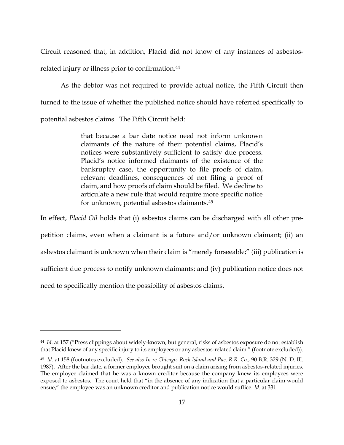Circuit reasoned that, in addition, Placid did not know of any instances of asbestosrelated injury or illness prior to confirmation.<sup>44</sup>

As the debtor was not required to provide actual notice, the Fifth Circuit then turned to the issue of whether the published notice should have referred specifically to potential asbestos claims. The Fifth Circuit held:

> that because a bar date notice need not inform unknown claimants of the nature of their potential claims, Placid's notices were substantively sufficient to satisfy due process. Placid's notice informed claimants of the existence of the bankruptcy case, the opportunity to file proofs of claim, relevant deadlines, consequences of not filing a proof of claim, and how proofs of claim should be filed. We decline to articulate a new rule that would require more specific notice for unknown, potential asbestos claimants.<sup>45</sup>

In effect, *Placid Oil* holds that (i) asbestos claims can be discharged with all other prepetition claims, even when a claimant is a future and/or unknown claimant; (ii) an asbestos claimant is unknown when their claim is "merely forseeable;" (iii) publication is sufficient due process to notify unknown claimants; and (iv) publication notice does not need to specifically mention the possibility of asbestos claims.

<sup>44</sup> *Id*. at 157 ("Press clippings about widely-known, but general, risks of asbestos exposure do not establish that Placid knew of any specific injury to its employees or any asbestos-related claim." (footnote excluded)).

<sup>45</sup> *Id.* at 158 (footnotes excluded). *See also In re Chicago, Rock Island and Pac. R.R. Co.*, 90 B.R. 329 (N. D. Ill. 1987). After the bar date, a former employee brought suit on a claim arising from asbestos-related injuries. The employee claimed that he was a known creditor because the company knew its employees were exposed to asbestos. The court held that "in the absence of any indication that a particular claim would ensue," the employee was an unknown creditor and publication notice would suffice. *Id.* at 331.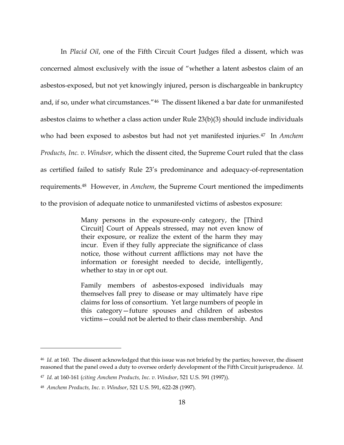In *Placid Oil*, one of the Fifth Circuit Court Judges filed a dissent, which was concerned almost exclusively with the issue of "whether a latent asbestos claim of an asbestos-exposed, but not yet knowingly injured, person is dischargeable in bankruptcy and, if so, under what circumstances."46 The dissent likened a bar date for unmanifested asbestos claims to whether a class action under Rule 23(b)(3) should include individuals who had been exposed to asbestos but had not yet manifested injuries.47 In *Amchem Products, Inc. v. Windsor*, which the dissent cited, the Supreme Court ruled that the class as certified failed to satisfy Rule 23's predominance and adequacy-of-representation requirements.48 However, in *Amchem*, the Supreme Court mentioned the impediments to the provision of adequate notice to unmanifested victims of asbestos exposure:

> Many persons in the exposure-only category, the [Third Circuit] Court of Appeals stressed, may not even know of their exposure, or realize the extent of the harm they may incur. Even if they fully appreciate the significance of class notice, those without current afflictions may not have the information or foresight needed to decide, intelligently, whether to stay in or opt out.

> Family members of asbestos-exposed individuals may themselves fall prey to disease or may ultimately have ripe claims for loss of consortium. Yet large numbers of people in this category—future spouses and children of asbestos victims—could not be alerted to their class membership. And

<sup>46</sup> *Id.* at 160. The dissent acknowledged that this issue was not briefed by the parties; however, the dissent reasoned that the panel owed a duty to oversee orderly development of the Fifth Circuit jurisprudence. *Id.*

<sup>47</sup> *Id.* at 160-161 (*citing Amchem Products, Inc. v. Windsor*, 521 U.S. 591 (1997)).

<sup>48</sup> *Amchem Products, Inc. v. Windsor*, 521 U.S. 591, 622-28 (1997).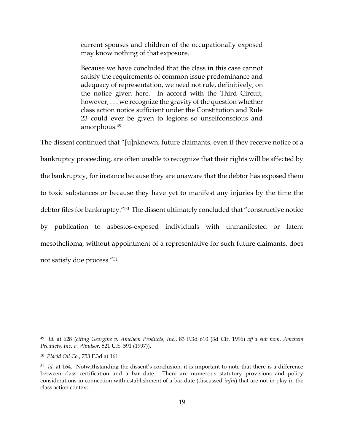current spouses and children of the occupationally exposed may know nothing of that exposure.

Because we have concluded that the class in this case cannot satisfy the requirements of common issue predominance and adequacy of representation, we need not rule, definitively, on the notice given here. In accord with the Third Circuit, however, . . . we recognize the gravity of the question whether class action notice sufficient under the Constitution and Rule 23 could ever be given to legions so unselfconscious and amorphous.<sup>49</sup>

The dissent continued that "[u]nknown, future claimants, even if they receive notice of a bankruptcy proceeding, are often unable to recognize that their rights will be affected by the bankruptcy, for instance because they are unaware that the debtor has exposed them to toxic substances or because they have yet to manifest any injuries by the time the debtor files for bankruptcy."50 The dissent ultimately concluded that "constructive notice by publication to asbestos-exposed individuals with unmanifested or latent mesothelioma, without appointment of a representative for such future claimants, does not satisfy due process."<sup>51</sup>

<sup>49</sup> *Id.* at 628 (*citing Georgine v. Amchem Products, Inc.*, 83 F.3d 610 (3d Cir. 1996) *aff'd sub nom. Amchem Products, Inc. v. Windsor*, 521 U.S. 591 (1997)).

<sup>50</sup> *Placid Oil Co.*, 753 F.3d at 161.

<sup>&</sup>lt;sup>51</sup> Id. at 164. Notwithstanding the dissent's conclusion, it is important to note that there is a difference between class certification and a bar date. There are numerous statutory provisions and policy considerations in connection with establishment of a bar date (discussed *infra*) that are not in play in the class action context.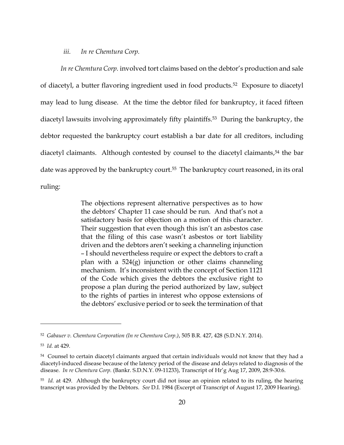#### *iii. In re Chemtura Corp.*

*In re Chemtura Corp.* involved tort claims based on the debtor's production and sale of diacetyl, a butter flavoring ingredient used in food products.52 Exposure to diacetyl may lead to lung disease. At the time the debtor filed for bankruptcy, it faced fifteen diacetyl lawsuits involving approximately fifty plaintiffs.53 During the bankruptcy, the debtor requested the bankruptcy court establish a bar date for all creditors, including diacetyl claimants. Although contested by counsel to the diacetyl claimants, <sup>54</sup> the bar date was approved by the bankruptcy court.<sup>55</sup> The bankruptcy court reasoned, in its oral ruling:

> The objections represent alternative perspectives as to how the debtors' Chapter 11 case should be run. And that's not a satisfactory basis for objection on a motion of this character. Their suggestion that even though this isn't an asbestos case that the filing of this case wasn't asbestos or tort liability driven and the debtors aren't seeking a channeling injunction – I should nevertheless require or expect the debtors to craft a plan with a 524(g) injunction or other claims channeling mechanism. It's inconsistent with the concept of Section 1121 of the Code which gives the debtors the exclusive right to propose a plan during the period authorized by law, subject to the rights of parties in interest who oppose extensions of the debtors' exclusive period or to seek the termination of that

<sup>52</sup> *Gabauer v. Chemtura Corporation (In re Chemtura Corp.)*, 505 B.R. 427, 428 (S.D.N.Y. 2014).

<sup>53</sup> *Id.* at 429.

<sup>54</sup> Counsel to certain diacetyl claimants argued that certain individuals would not know that they had a diacetyl-induced disease because of the latency period of the disease and delays related to diagnosis of the disease. *In re Chemtura Corp.* (Bankr. S.D.N.Y. 09-11233), Transcript of Hr'g Aug 17, 2009, 28:9-30:6.

<sup>55</sup> *Id.* at 429. Although the bankruptcy court did not issue an opinion related to its ruling, the hearing transcript was provided by the Debtors. *See* D.I. 1984 (Excerpt of Transcript of August 17, 2009 Hearing).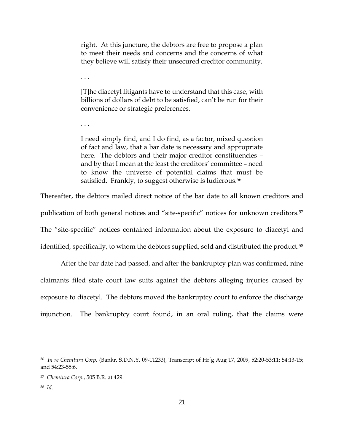right. At this juncture, the debtors are free to propose a plan to meet their needs and concerns and the concerns of what they believe will satisfy their unsecured creditor community.

[T]he diacetyl litigants have to understand that this case, with billions of dollars of debt to be satisfied, can't be run for their convenience or strategic preferences.

I need simply find, and I do find, as a factor, mixed question of fact and law, that a bar date is necessary and appropriate here. The debtors and their major creditor constituencies – and by that I mean at the least the creditors' committee – need to know the universe of potential claims that must be satisfied. Frankly, to suggest otherwise is ludicrous.<sup>56</sup>

Thereafter, the debtors mailed direct notice of the bar date to all known creditors and publication of both general notices and "site-specific" notices for unknown creditors.<sup>57</sup> The "site-specific" notices contained information about the exposure to diacetyl and identified, specifically, to whom the debtors supplied, sold and distributed the product. 58

After the bar date had passed, and after the bankruptcy plan was confirmed, nine claimants filed state court law suits against the debtors alleging injuries caused by exposure to diacetyl. The debtors moved the bankruptcy court to enforce the discharge injunction. The bankruptcy court found, in an oral ruling, that the claims were

. . .

. . .

<sup>56</sup> *In re Chemtura Corp.* (Bankr. S.D.N.Y. 09-11233), Transcript of Hr'g Aug 17, 2009, 52:20-53:11; 54:13-15; and 54:23-55:6.

<sup>57</sup> *Chemtura Corp.*, 505 B.R. at 429.

<sup>58</sup> *Id*.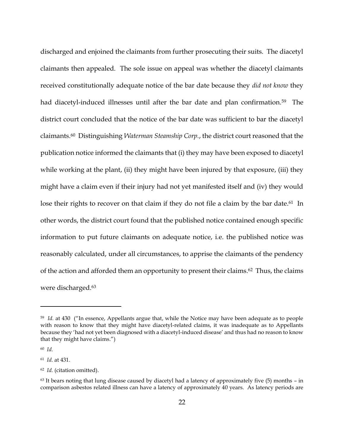discharged and enjoined the claimants from further prosecuting their suits. The diacetyl claimants then appealed. The sole issue on appeal was whether the diacetyl claimants received constitutionally adequate notice of the bar date because they *did not know* they had diacetyl-induced illnesses until after the bar date and plan confirmation.<sup>59</sup> The district court concluded that the notice of the bar date was sufficient to bar the diacetyl claimants.60 Distinguishing *Waterman Steamship Corp.*, the district court reasoned that the publication notice informed the claimants that (i) they may have been exposed to diacetyl while working at the plant, (ii) they might have been injured by that exposure, (iii) they might have a claim even if their injury had not yet manifested itself and (iv) they would lose their rights to recover on that claim if they do not file a claim by the bar date.<sup>61</sup> In other words, the district court found that the published notice contained enough specific information to put future claimants on adequate notice, i.e. the published notice was reasonably calculated, under all circumstances, to apprise the claimants of the pendency of the action and afforded them an opportunity to present their claims. <sup>62</sup> Thus, the claims were discharged.<sup>63</sup>

<sup>&</sup>lt;sup>59</sup> Id. at 430 ("In essence, Appellants argue that, while the Notice may have been adequate as to people with reason to know that they might have diacetyl-related claims, it was inadequate as to Appellants because they 'had not yet been diagnosed with a diacetyl-induced disease' and thus had no reason to know that they might have claims.")

<sup>60</sup> *Id.*

<sup>61</sup> *Id.* at 431.

<sup>62</sup> *Id.* (citation omitted).

 $63$  It bears noting that lung disease caused by diacetyl had a latency of approximately five (5) months – in comparison asbestos related illness can have a latency of approximately 40 years. As latency periods are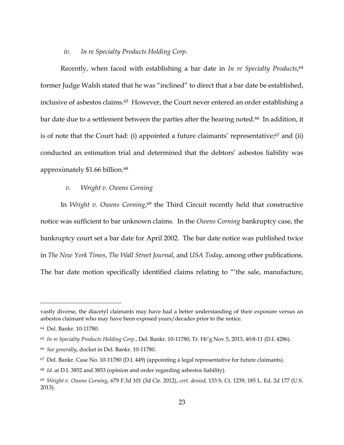## *iv. In re Specialty Products Holding Corp.*

Recently, when faced with establishing a bar date in *In re Specialty Products*, 64 former Judge Walsh stated that he was "inclined" to direct that a bar date be established, inclusive of asbestos claims.<sup>65</sup> However, the Court never entered an order establishing a bar date due to a settlement between the parties after the hearing noted.<sup>66</sup> In addition, it is of note that the Court had: (i) appointed a future claimants' representative;<sup>67</sup> and (ii) conducted an estimation trial and determined that the debtors' asbestos liability was approximately \$1.66 billion.<sup>68</sup>

## *v. Wright v. Owens Corning*

In *Wright v. Owens Corning*, <sup>69</sup> the Third Circuit recently held that constructive notice was sufficient to bar unknown claims. In the *Owens Corning* bankruptcy case, the bankruptcy court set a bar date for April 2002. The bar date notice was published twice in *The New York Times*, *The Wall Street Journal*, and *USA Today*, among other publications. The bar date motion specifically identified claims relating to "'the sale, manufacture,

vastly diverse, the diacetyl claimants may have had a better understanding of their exposure versus an asbestos claimant who may have been exposed years/decades prior to the notice.

<sup>64</sup> Del. Bankr. 10-11780.

<sup>65</sup> *In re Specialty Products Holding Corp.*, Del. Bankr. 10-11780, Tr. Hr'g Nov 5, 2013, 40:8-11 (D.I. 4286).

<sup>66</sup> *See generally*, docket in Del. Bankr. 10-11780.

<sup>67</sup> Del. Bankr. Case No. 10-11780 (D.I. 449) (appointing a legal representative for future claimants).

<sup>68</sup> *Id.* at D.I. 3852 and 3853 (opinion and order regarding asbestos liability).

<sup>69</sup> *Wright v. Owens Corning*, 679 F.3d 101 (3d Cir. 2012), *cert. denied*, 133 S. Ct. 1239, 185 L. Ed. 2d 177 (U.S. 2013).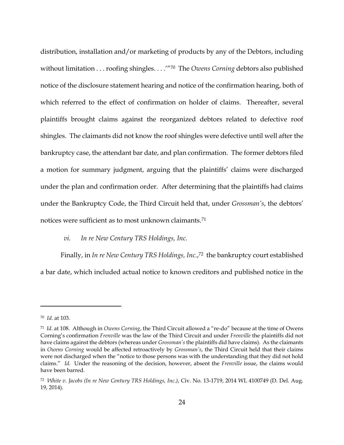distribution, installation and/or marketing of products by any of the Debtors, including without limitation . . . roofing shingles. . . .'"70 The *Owens Corning* debtors also published notice of the disclosure statement hearing and notice of the confirmation hearing, both of which referred to the effect of confirmation on holder of claims. Thereafter, several plaintiffs brought claims against the reorganized debtors related to defective roof shingles. The claimants did not know the roof shingles were defective until well after the bankruptcy case, the attendant bar date, and plan confirmation. The former debtors filed a motion for summary judgment, arguing that the plaintiffs' claims were discharged under the plan and confirmation order. After determining that the plaintiffs had claims under the Bankruptcy Code, the Third Circuit held that, under *Grossman's*, the debtors' notices were sufficient as to most unknown claimants.<sup>71</sup>

# *vi. In re New Century TRS Holdings, Inc.*

Finally, in *In re New Century TRS Holdings, Inc.*, <sup>72</sup> the bankruptcy court established a bar date, which included actual notice to known creditors and published notice in the

<sup>70</sup> *Id.* at 103.

<sup>71</sup> *Id.* at 108. Although in *Owens Corning*, the Third Circuit allowed a "re-do" because at the time of Owens Corning's confirmation *Frenville* was the law of the Third Circuit and under *Frenville* the plaintiffs did not have claims against the debtors (whereas under *Grossman's* the plaintiffs did have claims). As the claimants in *Owens Corning* would be affected retroactively by *Grossman's*, the Third Circuit held that their claims were not discharged when the "notice to those persons was with the understanding that they did not hold claims." *Id.* Under the reasoning of the decision, however, absent the *Frenville* issue, the claims would have been barred.

<sup>72</sup> *White v. Jacobs (In re New Century TRS Holdings, Inc.)*, Civ. No. 13-1719, 2014 WL 4100749 (D. Del. Aug. 19, 2014).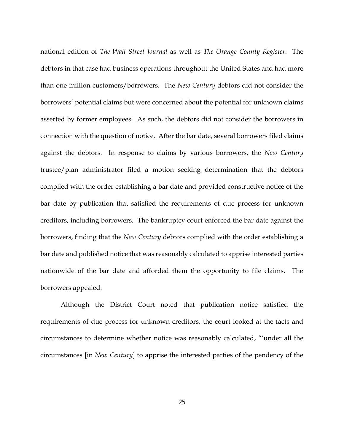national edition of *The Wall Street Journal* as well as *The Orange County Register*. The debtors in that case had business operations throughout the United States and had more than one million customers/borrowers. The *New Century* debtors did not consider the borrowers' potential claims but were concerned about the potential for unknown claims asserted by former employees. As such, the debtors did not consider the borrowers in connection with the question of notice. After the bar date, several borrowers filed claims against the debtors. In response to claims by various borrowers, the *New Century*  trustee/plan administrator filed a motion seeking determination that the debtors complied with the order establishing a bar date and provided constructive notice of the bar date by publication that satisfied the requirements of due process for unknown creditors, including borrowers. The bankruptcy court enforced the bar date against the borrowers, finding that the *New Century* debtors complied with the order establishing a bar date and published notice that was reasonably calculated to apprise interested parties nationwide of the bar date and afforded them the opportunity to file claims. The borrowers appealed.

Although the District Court noted that publication notice satisfied the requirements of due process for unknown creditors, the court looked at the facts and circumstances to determine whether notice was reasonably calculated, "'under all the circumstances [in *New Century*] to apprise the interested parties of the pendency of the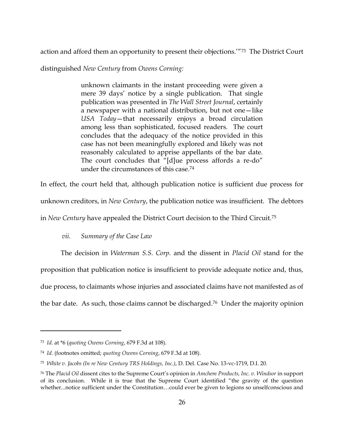action and afford them an opportunity to present their objections.'"73 The District Court

distinguished *New Century* from *Owens Corning:*

unknown claimants in the instant proceeding were given a mere 39 days' notice by a single publication. That single publication was presented in *The Wall Street Journal*, certainly a newspaper with a national distribution, but not one—like *USA Today*—that necessarily enjoys a broad circulation among less than sophisticated, focused readers. The court concludes that the adequacy of the notice provided in this case has not been meaningfully explored and likely was not reasonably calculated to apprise appellants of the bar date. The court concludes that "[d]ue process affords a re-do" under the circumstances of this case.<sup>74</sup>

In effect, the court held that, although publication notice is sufficient due process for unknown creditors, in *New Century*, the publication notice was insufficient. The debtors in *New Century* have appealed the District Court decision to the Third Circuit.<sup>75</sup>

# *vii. Summary of the Case Law*

The decision in *Waterman S.S. Corp.* and the dissent in *Placid Oil* stand for the proposition that publication notice is insufficient to provide adequate notice and, thus, due process, to claimants whose injuries and associated claims have not manifested as of the bar date. As such, those claims cannot be discharged.76 Under the majority opinion

<sup>73</sup> *Id.* at \*6 (*quoting Owens Corning*, 679 F.3d at 108).

<sup>74</sup> *Id.* (footnotes omitted; *quoting Owens Corning*, 679 F.3d at 108).

<sup>75</sup> *White v. Jacobs (In re New Century TRS Holdings, Inc.)*, D. Del. Case No. 13-vc-1719, D.I. 20.

<sup>76</sup> The *Placid Oil* dissent cites to the Supreme Court's opinion in *Amchem Products, Inc. v. Windsor* in support of its conclusion. While it is true that the Supreme Court identified "the gravity of the question whether...notice sufficient under the Constitution…could ever be given to legions so unselfconscious and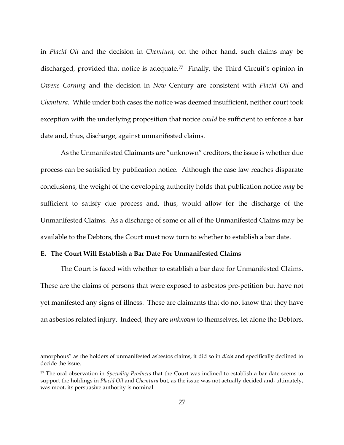in *Placid Oil* and the decision in *Chemtura*, on the other hand, such claims may be discharged, provided that notice is adequate.<sup>77</sup> Finally, the Third Circuit's opinion in *Owens Corning* and the decision in *New* Century are consistent with *Placid Oil* and *Chemtura*. While under both cases the notice was deemed insufficient, neither court took exception with the underlying proposition that notice *could* be sufficient to enforce a bar date and, thus, discharge, against unmanifested claims.

As the Unmanifested Claimants are "unknown" creditors, the issue is whether due process can be satisfied by publication notice. Although the case law reaches disparate conclusions, the weight of the developing authority holds that publication notice *may* be sufficient to satisfy due process and, thus, would allow for the discharge of the Unmanifested Claims. As a discharge of some or all of the Unmanifested Claims may be available to the Debtors, the Court must now turn to whether to establish a bar date.

# **E. The Court Will Establish a Bar Date For Unmanifested Claims**

 $\overline{a}$ 

The Court is faced with whether to establish a bar date for Unmanifested Claims. These are the claims of persons that were exposed to asbestos pre-petition but have not yet manifested any signs of illness. These are claimants that do not know that they have an asbestos related injury. Indeed, they are *unknown* to themselves, let alone the Debtors.

amorphous" as the holders of unmanifested asbestos claims, it did so in *dicta* and specifically declined to decide the issue.

<sup>77</sup> The oral observation in *Speciality Products* that the Court was inclined to establish a bar date seems to support the holdings in *Placid Oil* and *Chemtura* but, as the issue was not actually decided and, ultimately, was moot, its persuasive authority is nominal.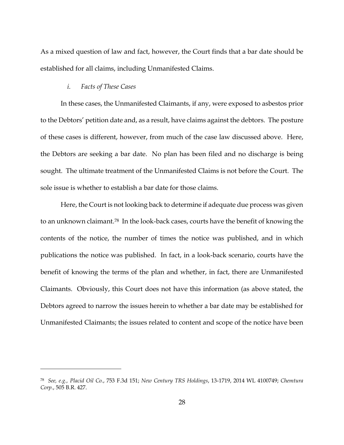As a mixed question of law and fact, however, the Court finds that a bar date should be established for all claims, including Unmanifested Claims.

## *i. Facts of These Cases*

 $\overline{a}$ 

In these cases, the Unmanifested Claimants, if any, were exposed to asbestos prior to the Debtors' petition date and, as a result, have claims against the debtors. The posture of these cases is different, however, from much of the case law discussed above. Here, the Debtors are seeking a bar date. No plan has been filed and no discharge is being sought. The ultimate treatment of the Unmanifested Claims is not before the Court. The sole issue is whether to establish a bar date for those claims.

Here, the Court is not looking back to determine if adequate due process was given to an unknown claimant.<sup>78</sup> In the look-back cases, courts have the benefit of knowing the contents of the notice, the number of times the notice was published, and in which publications the notice was published. In fact, in a look-back scenario, courts have the benefit of knowing the terms of the plan and whether, in fact, there are Unmanifested Claimants. Obviously, this Court does not have this information (as above stated, the Debtors agreed to narrow the issues herein to whether a bar date may be established for Unmanifested Claimants; the issues related to content and scope of the notice have been

<sup>78</sup> *See, e.g., Placid Oil Co.*, 753 F.3d 151; *New Century TRS Holdings*, 13-1719, 2014 WL 4100749; *Chemtura Corp.*, 505 B.R. 427.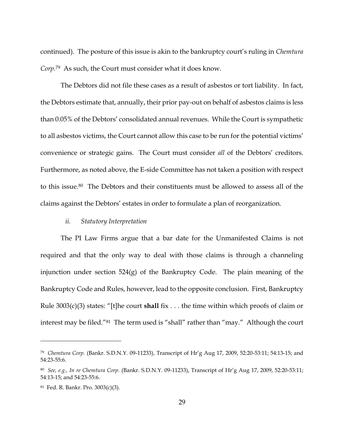continued). The posture of this issue is akin to the bankruptcy court's ruling in *Chemtura Corp.*79 As such, the Court must consider what it does know.

The Debtors did not file these cases as a result of asbestos or tort liability. In fact, the Debtors estimate that, annually, their prior pay-out on behalf of asbestos claims is less than 0.05% of the Debtors' consolidated annual revenues. While the Court is sympathetic to all asbestos victims, the Court cannot allow this case to be run for the potential victims' convenience or strategic gains. The Court must consider *all* of the Debtors' creditors. Furthermore, as noted above, the E-side Committee has not taken a position with respect to this issue.80 The Debtors and their constituents must be allowed to assess all of the claims against the Debtors' estates in order to formulate a plan of reorganization.

## *ii. Statutory Interpretation*

The PI Law Firms argue that a bar date for the Unmanifested Claims is not required and that the only way to deal with those claims is through a channeling injunction under section 524(g) of the Bankruptcy Code. The plain meaning of the Bankruptcy Code and Rules, however, lead to the opposite conclusion. First, Bankruptcy Rule 3003(c)(3) states: "[t]he court **shall** fix . . . the time within which proofs of claim or interest may be filed."81 The term used is "shall" rather than "may." Although the court

<sup>79</sup> *Chemtura Corp.* (Bankr. S.D.N.Y. 09-11233), Transcript of Hr'g Aug 17, 2009, 52:20-53:11; 54:13-15; and 54:23-55:6.

<sup>80</sup> *See, e.g., In re Chemtura Corp.* (Bankr. S.D.N.Y. 09-11233), Transcript of Hr'g Aug 17, 2009, 52:20-53:11; 54:13-15; and 54:23-55:6.

<sup>81</sup> Fed. R. Bankr. Pro. 3003(c)(3).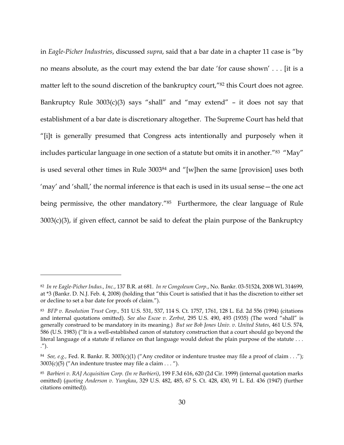in *Eagle-Picher Industries*, discussed *supra*, said that a bar date in a chapter 11 case is "by no means absolute, as the court may extend the bar date 'for cause shown' . . . [it is a matter left to the sound discretion of the bankruptcy court,"<sup>82</sup> this Court does not agree. Bankruptcy Rule  $3003(c)(3)$  says "shall" and "may extend" – it does not say that establishment of a bar date is discretionary altogether. The Supreme Court has held that "[i]t is generally presumed that Congress acts intentionally and purposely when it includes particular language in one section of a statute but omits it in another."<sup>83</sup> "May" is used several other times in Rule 3003<sup>84</sup> and "[w]hen the same [provision] uses both 'may' and 'shall,' the normal inference is that each is used in its usual sense—the one act being permissive, the other mandatory.<sup>"85</sup> Furthermore, the clear language of Rule 3003(c)(3), if given effect, cannot be said to defeat the plain purpose of the Bankruptcy

<sup>82</sup> *In re Eagle-Picher Indus., Inc.*, 137 B.R. at 681. *In re Congoleum Corp.*, No. Bankr. 03-51524, 2008 WL 314699, at \*3 (Bankr. D. N.J. Feb. 4, 2008) (holding that "this Court is satisfied that it has the discretion to either set or decline to set a bar date for proofs of claim.").

<sup>83</sup> *BFP v. Resolution Trust Corp.,* 511 U.S. 531, 537, 114 S. Ct. 1757, 1761, 128 L. Ed. 2d 556 (1994) (citations and internal quotations omitted). *See also Escoe v. Zerbst*, 295 U.S. 490, 493 (1935) (The word "shall" is generally construed to be mandatory in its meaning.) *But see Bob Jones Univ. v. United States*, 461 U.S. 574, 586 (U.S. 1983) ("It is a well-established canon of statutory construction that a court should go beyond the literal language of a statute if reliance on that language would defeat the plain purpose of the statute . . . .").

<sup>84</sup> *See, e.g.,* Fed. R. Bankr. R. 3003(c)(1) ("Any creditor or indenture trustee may file a proof of claim . . .");  $3003(c)(5)$  ("An indenture trustee may file a claim . . . ").

<sup>85</sup> *Barbieri v. RAJ Acquisition Corp. (In re Barbieri)*, 199 F.3d 616, 620 (2d Cir. 1999) (internal quotation marks omitted) (*quoting Anderson v. Yungkau*, 329 U.S. 482, 485, 67 S. Ct. 428, 430, 91 L. Ed. 436 (1947) (further citations omitted)).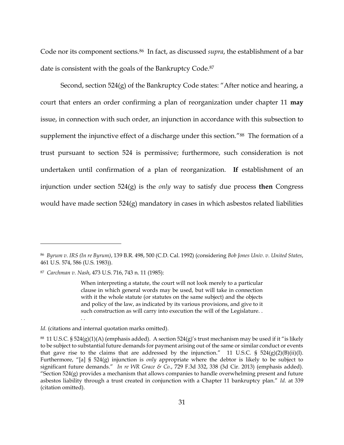Code nor its component sections.86 In fact, as discussed *supra*, the establishment of a bar date is consistent with the goals of the Bankruptcy Code.<sup>87</sup>

Second, section 524(g) of the Bankruptcy Code states: "After notice and hearing, a court that enters an order confirming a plan of reorganization under chapter 11 **may** issue, in connection with such order, an injunction in accordance with this subsection to supplement the injunctive effect of a discharge under this section."<sup>88</sup> The formation of a trust pursuant to section 524 is permissive; furthermore, such consideration is not undertaken until confirmation of a plan of reorganization. **If** establishment of an injunction under section 524(g) is the *only* way to satisfy due process **then** Congress would have made section 524(g) mandatory in cases in which asbestos related liabilities

 $\overline{a}$ 

. .

<sup>86</sup> *Byrum v. IRS (In re Byrum)*, 139 B.R. 498, 500 (C.D. Cal. 1992) (considering *Bob Jones Univ. v. United States*, 461 U.S. 574, 586 (U.S. 1983)).

<sup>87</sup> *Carchman v. Nash*, 473 U.S. 716, 743 n. 11 (1985):

When interpreting a statute, the court will not look merely to a particular clause in which general words may be used, but will take in connection with it the whole statute (or statutes on the same subject) and the objects and policy of the law, as indicated by its various provisions, and give to it such construction as will carry into execution the will of the Legislature. .

*Id.* (citations and internal quotation marks omitted).

 $^{88}$  11 U.S.C. § 524(g)(1)(A) (emphasis added). A section 524(g)'s trust mechanism may be used if it "is likely to be subject to substantial future demands for payment arising out of the same or similar conduct or events that gave rise to the claims that are addressed by the injunction." 11 U.S.C. §  $524(g)(2)(B)(ii)(I)$ . Furthermore, "[a] § 524(g) injunction is *only* appropriate where the debtor is likely to be subject to significant future demands." *In re WR Grace & Co.*, 729 F.3d 332, 338 (3d Cir. 2013) (emphasis added). "Section  $524(g)$  provides a mechanism that allows companies to handle overwhelming present and future asbestos liability through a trust created in conjunction with a Chapter 11 bankruptcy plan." *Id.* at 339 (citation omitted).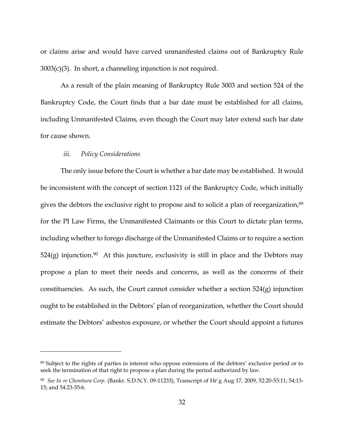or claims arise and would have carved unmanifested claims out of Bankruptcy Rule 3003(c)(3). In short, a channeling injunction is not required.

As a result of the plain meaning of Bankruptcy Rule 3003 and section 524 of the Bankruptcy Code, the Court finds that a bar date must be established for all claims, including Unmanifested Claims, even though the Court may later extend such bar date for cause shown.

## *iii. Policy Considerations*

 $\overline{a}$ 

The only issue before the Court is whether a bar date may be established. It would be inconsistent with the concept of section 1121 of the Bankruptcy Code, which initially gives the debtors the exclusive right to propose and to solicit a plan of reorganization,<sup>89</sup> for the PI Law Firms, the Unmanifested Claimants or this Court to dictate plan terms, including whether to forego discharge of the Unmanifested Claims or to require a section  $524(g)$  injunction.<sup>90</sup> At this juncture, exclusivity is still in place and the Debtors may propose a plan to meet their needs and concerns, as well as the concerns of their constituencies. As such, the Court cannot consider whether a section 524(g) injunction ought to be established in the Debtors' plan of reorganization, whether the Court should estimate the Debtors' asbestos exposure, or whether the Court should appoint a futures

<sup>89</sup> Subject to the rights of parties in interest who oppose extensions of the debtors' exclusive period or to seek the termination of that right to propose a plan during the period authorized by law.

<sup>90</sup> *See In re Chemtura Corp.* (Bankr. S.D.N.Y. 09-11233), Transcript of Hr'g Aug 17, 2009, 52:20-53:11; 54:13- 15; and 54:23-55:6.